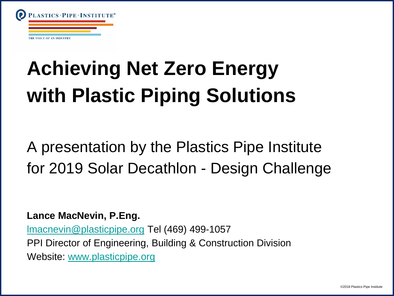

# **Achieving Net Zero Energy with Plastic Piping Solutions**

A presentation by the Plastics Pipe Institute for 2019 Solar Decathlon - Design Challenge

**Lance MacNevin, P.Eng.**

[lmacnevin@plasticpipe.org](mailto:lmacnevin@plasticpipe.org) Tel (469) 499-1057 PPI Director of Engineering, Building & Construction Division Website: [www.plasticpipe.org](http://www.plasticpipe.org/)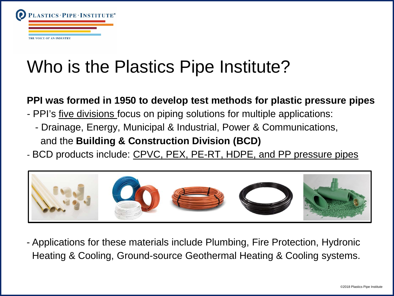

### Who is the Plastics Pipe Institute?

#### **PPI was formed in 1950 to develop test methods for plastic pressure pipes**

- PPI's <u>five divisions</u> focus on piping solutions for multiple applications:
	- Drainage, Energy, Municipal & Industrial, Power & Communications, and the **Building & Construction Division (BCD)**
- BCD products include: CPVC, PEX, PE-RT, HDPE, and PP pressure pipes



- Applications for these materials include Plumbing, Fire Protection, Hydronic Heating & Cooling, Ground-source Geothermal Heating & Cooling systems.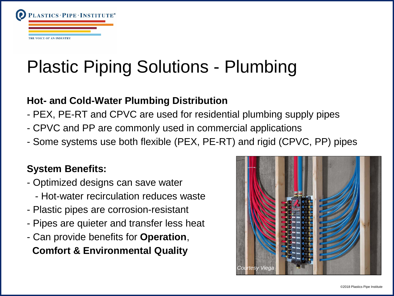

# Plastic Piping Solutions - Plumbing

#### **Hot- and Cold-Water Plumbing Distribution**

- PEX, PE-RT and CPVC are used for residential plumbing supply pipes
- CPVC and PP are commonly used in commercial applications
- Some systems use both flexible (PEX, PE-RT) and rigid (CPVC, PP) pipes

### **System Benefits:**

- Optimized designs can save water
	- Hot-water recirculation reduces waste
- Plastic pipes are corrosion-resistant
- Pipes are quieter and transfer less heat
- Can provide benefits for **Operation**,

**Comfort & Environmental Quality**

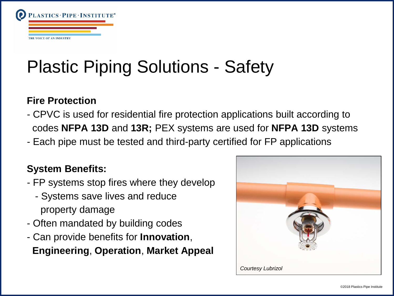

# Plastic Piping Solutions - Safety

#### **Fire Protection**

- CPVC is used for residential fire protection applications built according to codes **NFPA 13D** and **13R;** PEX systems are used for **NFPA 13D** systems
- Each pipe must be tested and third-party certified for FP applications

### **System Benefits:**

- FP systems stop fires where they develop
	- Systems save lives and reduce property damage
- Often mandated by building codes
- Can provide benefits for **Innovation**,

**Engineering**, **Operation**, **Market Appeal**

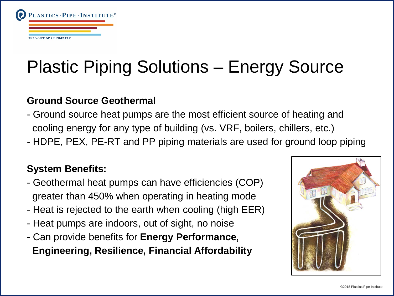

# Plastic Piping Solutions – Energy Source

#### **Ground Source Geothermal**

- Ground source heat pumps are the most efficient source of heating and cooling energy for any type of building (vs. VRF, boilers, chillers, etc.)
- HDPE, PEX, PE-RT and PP piping materials are used for ground loop piping

### **System Benefits:**

- Geothermal heat pumps can have efficiencies (COP) greater than 450% when operating in heating mode
- Heat is rejected to the earth when cooling (high EER)
- Heat pumps are indoors, out of sight, no noise
- Can provide benefits for **Energy Performance, Engineering, Resilience, Financial Affordability**

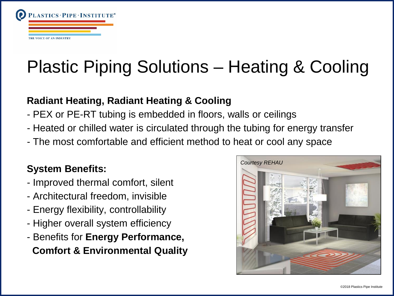

# Plastic Piping Solutions – Heating & Cooling

### **Radiant Heating, Radiant Heating & Cooling**

- PEX or PE-RT tubing is embedded in floors, walls or ceilings
- Heated or chilled water is circulated through the tubing for energy transfer
- The most comfortable and efficient method to heat or cool any space

### **System Benefits:**

- Improved thermal comfort, silent
- Architectural freedom, invisible
- Energy flexibility, controllability
- Higher overall system efficiency
- Benefits for **Energy Performance, Comfort & Environmental Quality**